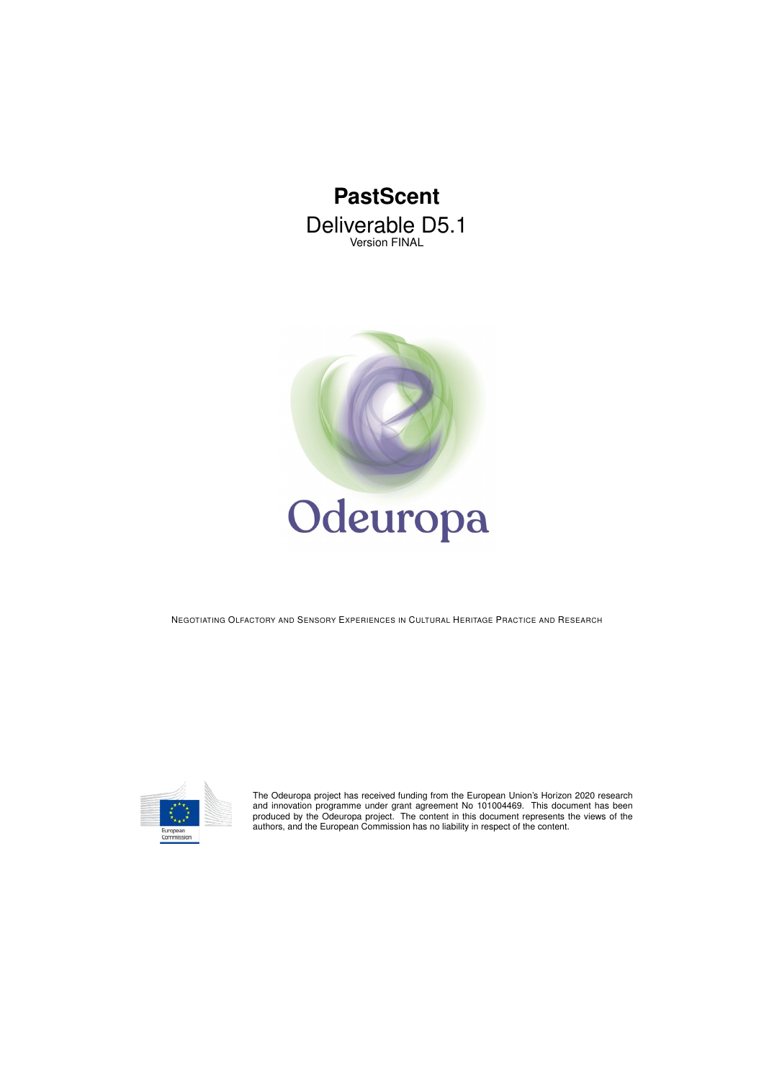# **PastScent** Deliverable D5.1 Version FINAL



NEGOTIATING OLFACTORY AND SENSORY EXPERIENCES IN CULTURAL HERITAGE PRACTICE AND RESEARCH



The Odeuropa project has received funding from the European Union's Horizon 2020 research<br>and innovation programme under grant agreement No 101004469. This document has been<br>produced by the Odeuropa project. The content in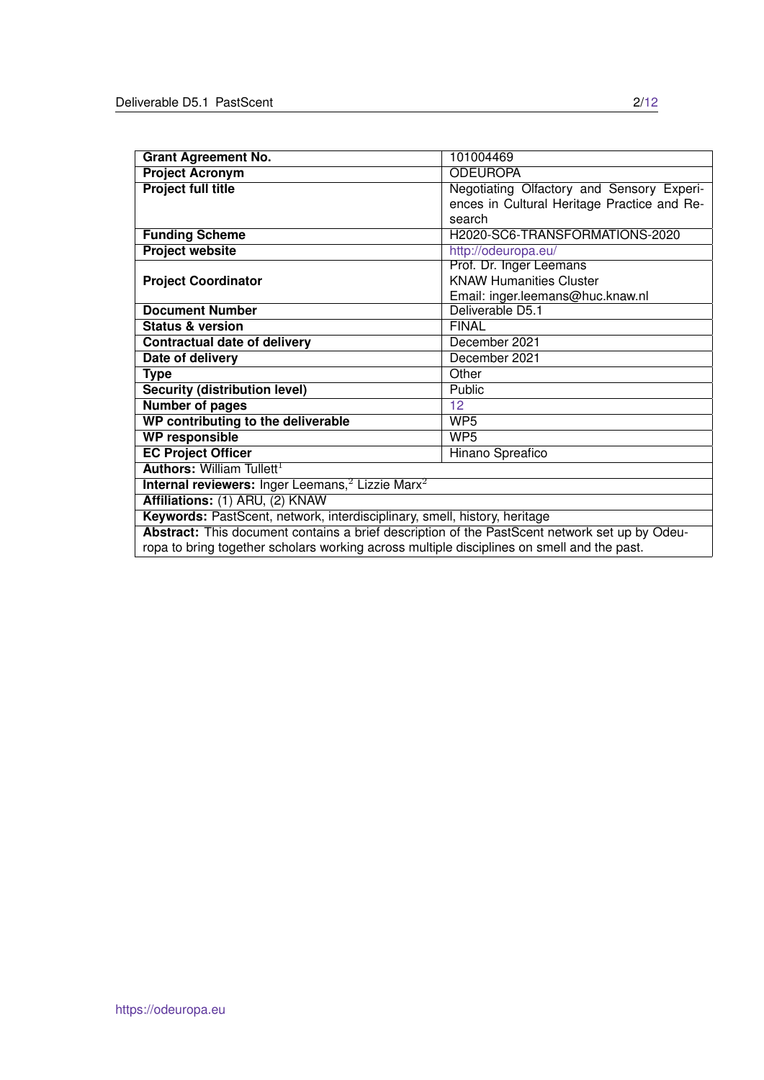| <b>Grant Agreement No.</b>                                                                    | 101004469                                   |  |  |  |
|-----------------------------------------------------------------------------------------------|---------------------------------------------|--|--|--|
| <b>Project Acronym</b>                                                                        | <b>ODEUROPA</b>                             |  |  |  |
| <b>Project full title</b>                                                                     | Negotiating Olfactory and Sensory Experi-   |  |  |  |
|                                                                                               | ences in Cultural Heritage Practice and Re- |  |  |  |
|                                                                                               | search                                      |  |  |  |
| <b>Funding Scheme</b>                                                                         | H2020-SC6-TRANSFORMATIONS-2020              |  |  |  |
| <b>Project website</b>                                                                        | http://odeuropa.eu/                         |  |  |  |
|                                                                                               | Prof. Dr. Inger Leemans                     |  |  |  |
| <b>Project Coordinator</b>                                                                    | <b>KNAW Humanities Cluster</b>              |  |  |  |
|                                                                                               | Email: inger.leemans@huc.knaw.nl            |  |  |  |
| <b>Document Number</b>                                                                        | Deliverable D5.1                            |  |  |  |
| <b>Status &amp; version</b>                                                                   | <b>FINAL</b>                                |  |  |  |
| <b>Contractual date of delivery</b>                                                           | December 2021                               |  |  |  |
| Date of delivery                                                                              | December 2021                               |  |  |  |
| <b>Type</b>                                                                                   | Other                                       |  |  |  |
| <b>Security (distribution level)</b>                                                          | <b>Public</b>                               |  |  |  |
| <b>Number of pages</b>                                                                        | 12                                          |  |  |  |
| WP contributing to the deliverable                                                            | WP <sub>5</sub>                             |  |  |  |
| <b>WP responsible</b>                                                                         | WP <sub>5</sub>                             |  |  |  |
| <b>EC Project Officer</b>                                                                     | <b>Hinano Spreafico</b>                     |  |  |  |
| <b>Authors: William Tullett<sup>1</sup></b>                                                   |                                             |  |  |  |
| <b>Internal reviewers:</b> Inger Leemans, $^2$ Lizzie Marx $^2$                               |                                             |  |  |  |
| Affiliations: (1) ARU, (2) KNAW                                                               |                                             |  |  |  |
| Keywords: PastScent, network, interdisciplinary, smell, history, heritage                     |                                             |  |  |  |
| Abstract: This document contains a brief description of the PastScent network set up by Odeu- |                                             |  |  |  |
| ropa to bring together scholars working across multiple disciplines on smell and the past.    |                                             |  |  |  |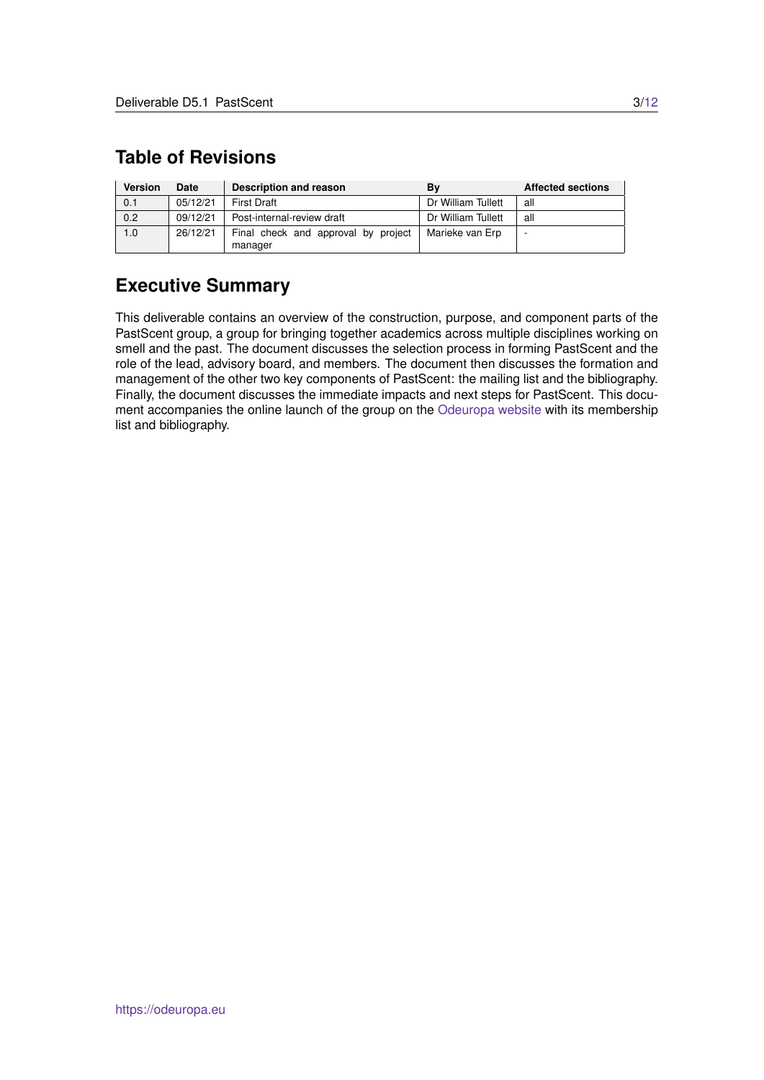# <span id="page-2-0"></span>**Table of Revisions**

| <b>Version</b> | Date     | Description and reason                         | Bv                 | <b>Affected sections</b> |
|----------------|----------|------------------------------------------------|--------------------|--------------------------|
| 0.1            | 05/12/21 | <b>First Draft</b>                             | Dr William Tullett | all                      |
| 0.2            | 09/12/21 | Post-internal-review draft                     | Dr William Tullett | all                      |
| 1.0            | 26/12/21 | Final check and approval by project<br>manager | Marieke van Erp    |                          |

## **Executive Summary**

This deliverable contains an overview of the construction, purpose, and component parts of the PastScent group, a group for bringing together academics across multiple disciplines working on smell and the past. The document discusses the selection process in forming PastScent and the role of the lead, advisory board, and members. The document then discusses the formation and management of the other two key components of PastScent: the mailing list and the bibliography. Finally, the document discusses the immediate impacts and next steps for PastScent. This document accompanies the online launch of the group on the [Odeuropa website](https://odeuropa.eu/pastscent/) with its membership list and bibliography.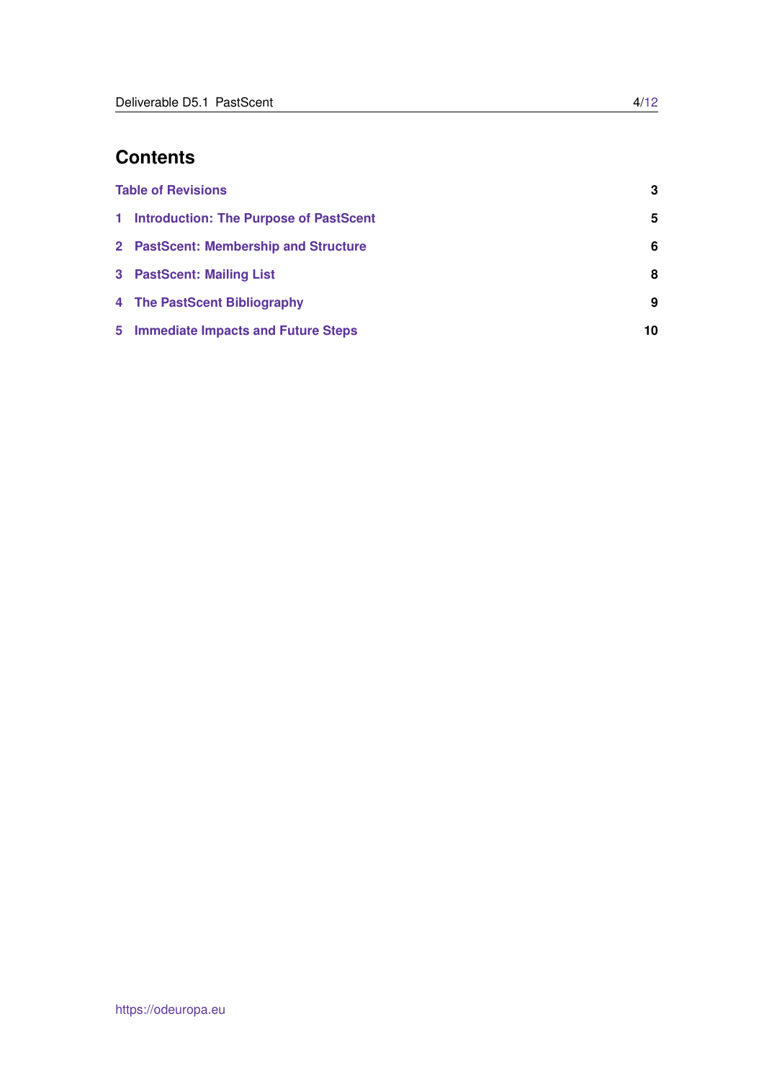# **Contents**

| <b>Table of Revisions</b> |                                          | 3  |
|---------------------------|------------------------------------------|----|
|                           | 1 Introduction: The Purpose of PastScent | 5  |
|                           | 2 PastScent: Membership and Structure    | 6  |
|                           | 3 PastScent: Mailing List                | 8  |
|                           | 4 The PastScent Bibliography             | 9  |
|                           | 5 Immediate Impacts and Future Steps     | 10 |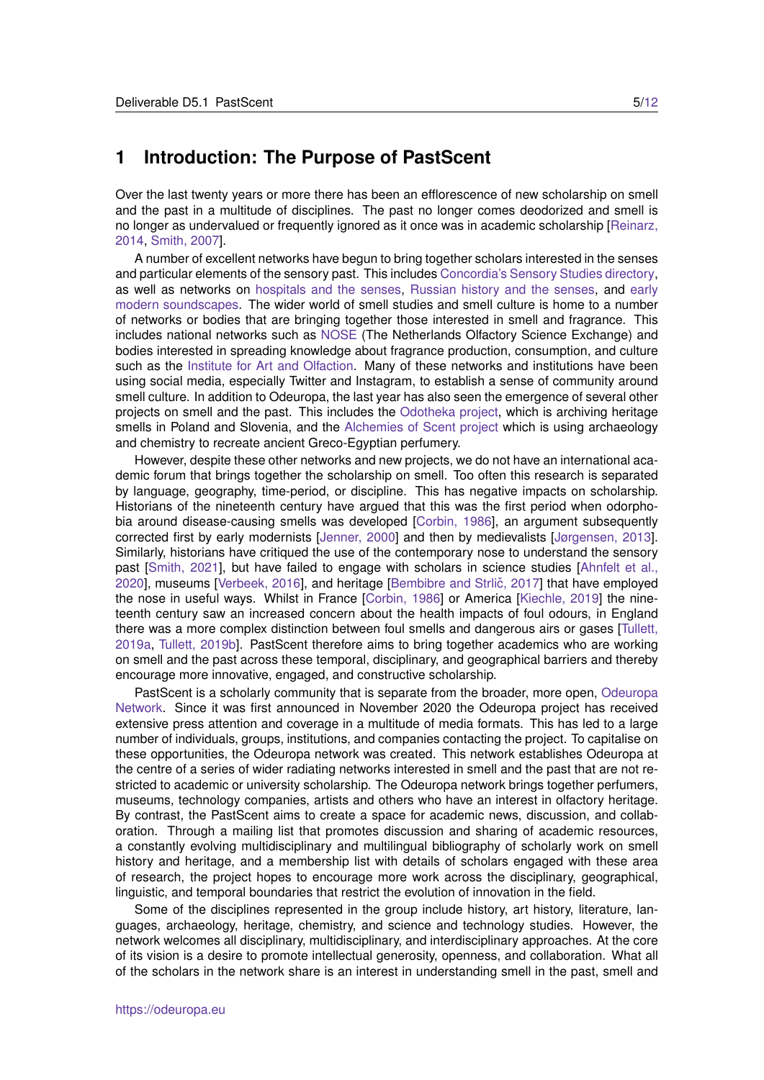### <span id="page-4-0"></span>**1 Introduction: The Purpose of PastScent**

Over the last twenty years or more there has been an efflorescence of new scholarship on smell and the past in a multitude of disciplines. The past no longer comes deodorized and smell is no longer as undervalued or frequently ignored as it once was in academic scholarship [\[Reinarz,](#page-11-1) [2014,](#page-11-1) [Smith, 2007\]](#page-11-2).

A number of excellent networks have begun to bring together scholars interested in the senses and particular elements of the sensory past. This includes [Concordia's Sensory Studies directory,](http://www.sensorystudies.org/) as well as networks on [hospitals and the senses,](https://hospitalsenses.co.uk/2019/11/15/wellcome-trust-network/) [Russian history and the senses,](https://www.crush.group.cam.ac.uk/) and [early](https://emsoundscapes.co.uk/) [modern soundscapes.](https://emsoundscapes.co.uk/) The wider world of smell studies and smell culture is home to a number of networks or bodies that are bringing together those interested in smell and fragrance. This includes national networks such as [NOSE](https://www.nosenetwork.nl/about/) (The Netherlands Olfactory Science Exchange) and bodies interested in spreading knowledge about fragrance production, consumption, and culture such as the [Institute for Art and Olfaction.](https://artandolfaction.com/) Many of these networks and institutions have been using social media, especially Twitter and Instagram, to establish a sense of community around smell culture. In addition to Odeuropa, the last year has also seen the emergence of several other projects on smell and the past. This includes the [Odotheka project,](https://hslab.fkkt.uni-lj.si/2021/09/24/odotheka-exploring-and-archiving-heritage-smells/) which is archiving heritage smells in Poland and Slovenia, and the [Alchemies of Scent project](https://www.alchemiesofscent.org/) which is using archaeology and chemistry to recreate ancient Greco-Egyptian perfumery.

However, despite these other networks and new projects, we do not have an international academic forum that brings together the scholarship on smell. Too often this research is separated by language, geography, time-period, or discipline. This has negative impacts on scholarship. Historians of the nineteenth century have argued that this was the first period when odorphobia around disease-causing smells was developed [\[Corbin, 1986\]](#page-10-0), an argument subsequently corrected first by early modernists [\[Jenner, 2000\]](#page-10-1) and then by medievalists [\[Jørgensen, 2013\]](#page-10-2). Similarly, historians have critiqued the use of the contemporary nose to understand the sensory past [\[Smith, 2021\]](#page-11-3), but have failed to engage with scholars in science studies [\[Ahnfelt et al.,](#page-10-3) [2020\]](#page-10-3), museums [\[Verbeek, 2016\]](#page-11-4), and heritage [Bembibre and Strlič, 2017] that have employed the nose in useful ways. Whilst in France [\[Corbin, 1986\]](#page-10-0) or America [\[Kiechle, 2019\]](#page-10-5) the nineteenth century saw an increased concern about the health impacts of foul odours, in England there was a more complex distinction between foul smells and dangerous airs or gases [\[Tullett,](#page-11-5) [2019a,](#page-11-5) [Tullett, 2019b\]](#page-11-6). PastScent therefore aims to bring together academics who are working on smell and the past across these temporal, disciplinary, and geographical barriers and thereby encourage more innovative, engaged, and constructive scholarship.

PastScent is a scholarly community that is separate from the broader, more open, [Odeuropa](https://odeuropa.eu/network/) [Network.](https://odeuropa.eu/network/) Since it was first announced in November 2020 the Odeuropa project has received extensive press attention and coverage in a multitude of media formats. This has led to a large number of individuals, groups, institutions, and companies contacting the project. To capitalise on these opportunities, the Odeuropa network was created. This network establishes Odeuropa at the centre of a series of wider radiating networks interested in smell and the past that are not restricted to academic or university scholarship. The Odeuropa network brings together perfumers, museums, technology companies, artists and others who have an interest in olfactory heritage. By contrast, the PastScent aims to create a space for academic news, discussion, and collaboration. Through a mailing list that promotes discussion and sharing of academic resources, a constantly evolving multidisciplinary and multilingual bibliography of scholarly work on smell history and heritage, and a membership list with details of scholars engaged with these area of research, the project hopes to encourage more work across the disciplinary, geographical, linguistic, and temporal boundaries that restrict the evolution of innovation in the field.

Some of the disciplines represented in the group include history, art history, literature, languages, archaeology, heritage, chemistry, and science and technology studies. However, the network welcomes all disciplinary, multidisciplinary, and interdisciplinary approaches. At the core of its vision is a desire to promote intellectual generosity, openness, and collaboration. What all of the scholars in the network share is an interest in understanding smell in the past, smell and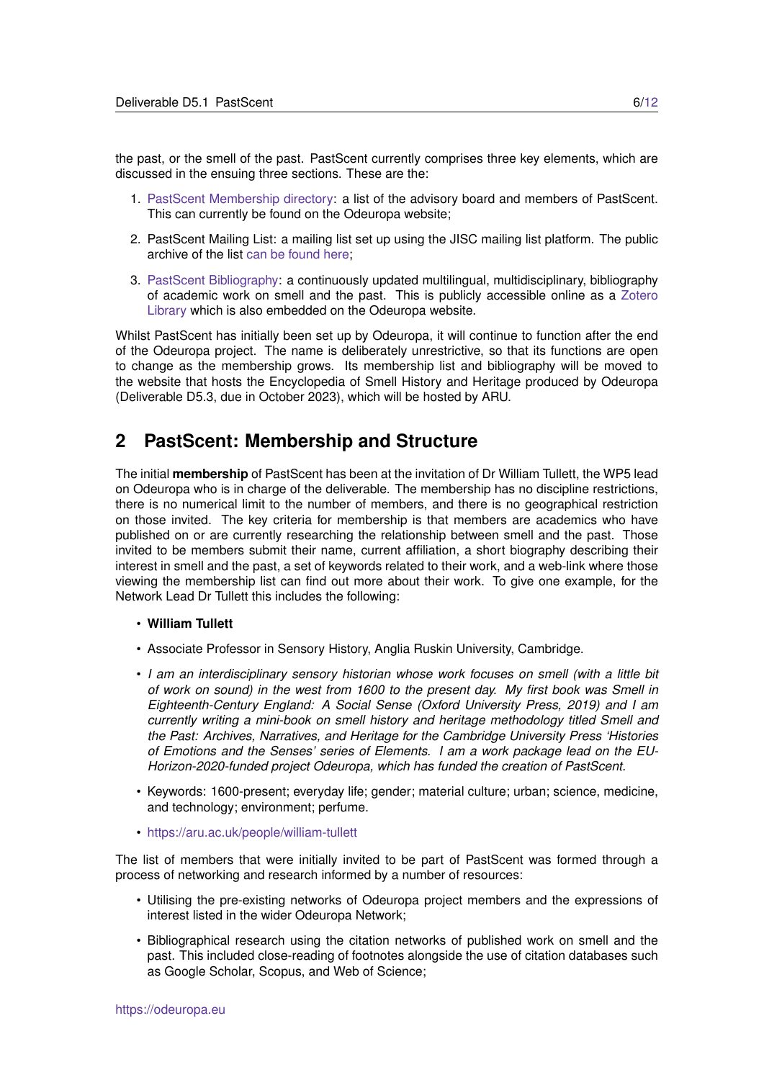the past, or the smell of the past. PastScent currently comprises three key elements, which are discussed in the ensuing three sections. These are the:

- 1. [PastScent Membership directory:](https://odeuropa.eu/pastscent-membership/) a list of the advisory board and members of PastScent. This can currently be found on the Odeuropa website;
- 2. PastScent Mailing List: a mailing list set up using the JISC mailing list platform. The public archive of the list [can be found here;](https://www.jiscmail.ac.uk/cgi-bin/webadmin?A0=pastscent)
- 3. [PastScent Bibliography:](https://odeuropa.eu/pastscent-bibliography/) a continuously updated multilingual, multidisciplinary, bibliography of academic work on smell and the past. This is publicly accessible online as a [Zotero](https://www.zotero.org/groups/4530561/pastscent/library) [Library](https://www.zotero.org/groups/4530561/pastscent/library) which is also embedded on the Odeuropa website.

Whilst PastScent has initially been set up by Odeuropa, it will continue to function after the end of the Odeuropa project. The name is deliberately unrestrictive, so that its functions are open to change as the membership grows. Its membership list and bibliography will be moved to the website that hosts the Encyclopedia of Smell History and Heritage produced by Odeuropa (Deliverable D5.3, due in October 2023), which will be hosted by ARU.

## <span id="page-5-0"></span>**2 PastScent: Membership and Structure**

The initial **membership** of PastScent has been at the invitation of Dr William Tullett, the WP5 lead on Odeuropa who is in charge of the deliverable. The membership has no discipline restrictions, there is no numerical limit to the number of members, and there is no geographical restriction on those invited. The key criteria for membership is that members are academics who have published on or are currently researching the relationship between smell and the past. Those invited to be members submit their name, current affiliation, a short biography describing their interest in smell and the past, a set of keywords related to their work, and a web-link where those viewing the membership list can find out more about their work. To give one example, for the Network Lead Dr Tullett this includes the following:

#### • **William Tullett**

- Associate Professor in Sensory History, Anglia Ruskin University, Cambridge.
- *I am an interdisciplinary sensory historian whose work focuses on smell (with a little bit of work on sound) in the west from 1600 to the present day. My first book was Smell in Eighteenth-Century England: A Social Sense (Oxford University Press, 2019) and I am currently writing a mini-book on smell history and heritage methodology titled Smell and the Past: Archives, Narratives, and Heritage for the Cambridge University Press 'Histories of Emotions and the Senses' series of Elements. I am a work package lead on the EU-Horizon-2020-funded project Odeuropa, which has funded the creation of PastScent.*
- Keywords: 1600-present; everyday life; gender; material culture; urban; science, medicine, and technology; environment; perfume.
- <https://aru.ac.uk/people/william-tullett>

The list of members that were initially invited to be part of PastScent was formed through a process of networking and research informed by a number of resources:

- Utilising the pre-existing networks of Odeuropa project members and the expressions of interest listed in the wider Odeuropa Network;
- Bibliographical research using the citation networks of published work on smell and the past. This included close-reading of footnotes alongside the use of citation databases such as Google Scholar, Scopus, and Web of Science;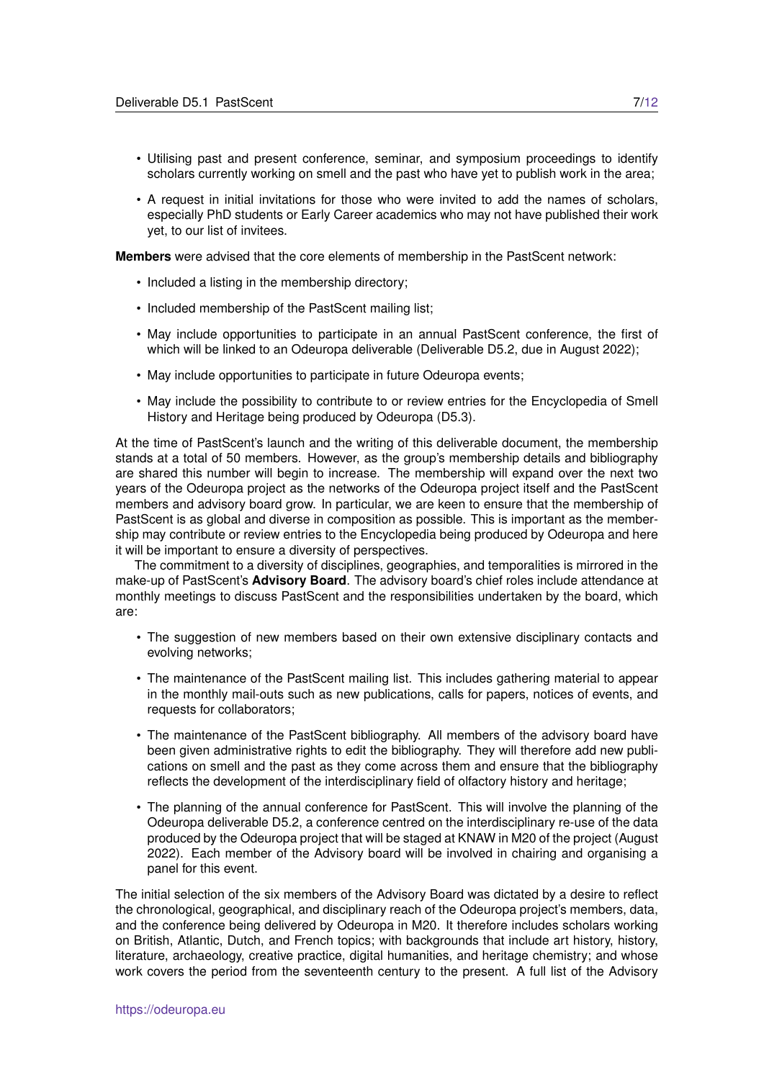- Utilising past and present conference, seminar, and symposium proceedings to identify scholars currently working on smell and the past who have yet to publish work in the area;
- A request in initial invitations for those who were invited to add the names of scholars, especially PhD students or Early Career academics who may not have published their work yet, to our list of invitees.

**Members** were advised that the core elements of membership in the PastScent network:

- Included a listing in the membership directory;
- Included membership of the PastScent mailing list;
- May include opportunities to participate in an annual PastScent conference, the first of which will be linked to an Odeuropa deliverable (Deliverable D5.2, due in August 2022);
- May include opportunities to participate in future Odeuropa events;
- May include the possibility to contribute to or review entries for the Encyclopedia of Smell History and Heritage being produced by Odeuropa (D5.3).

At the time of PastScent's launch and the writing of this deliverable document, the membership stands at a total of 50 members. However, as the group's membership details and bibliography are shared this number will begin to increase. The membership will expand over the next two years of the Odeuropa project as the networks of the Odeuropa project itself and the PastScent members and advisory board grow. In particular, we are keen to ensure that the membership of PastScent is as global and diverse in composition as possible. This is important as the membership may contribute or review entries to the Encyclopedia being produced by Odeuropa and here it will be important to ensure a diversity of perspectives.

The commitment to a diversity of disciplines, geographies, and temporalities is mirrored in the make-up of PastScent's **Advisory Board**. The advisory board's chief roles include attendance at monthly meetings to discuss PastScent and the responsibilities undertaken by the board, which are:

- The suggestion of new members based on their own extensive disciplinary contacts and evolving networks;
- The maintenance of the PastScent mailing list. This includes gathering material to appear in the monthly mail-outs such as new publications, calls for papers, notices of events, and requests for collaborators;
- The maintenance of the PastScent bibliography. All members of the advisory board have been given administrative rights to edit the bibliography. They will therefore add new publications on smell and the past as they come across them and ensure that the bibliography reflects the development of the interdisciplinary field of olfactory history and heritage;
- The planning of the annual conference for PastScent. This will involve the planning of the Odeuropa deliverable D5.2, a conference centred on the interdisciplinary re-use of the data produced by the Odeuropa project that will be staged at KNAW in M20 of the project (August 2022). Each member of the Advisory board will be involved in chairing and organising a panel for this event.

The initial selection of the six members of the Advisory Board was dictated by a desire to reflect the chronological, geographical, and disciplinary reach of the Odeuropa project's members, data, and the conference being delivered by Odeuropa in M20. It therefore includes scholars working on British, Atlantic, Dutch, and French topics; with backgrounds that include art history, history, literature, archaeology, creative practice, digital humanities, and heritage chemistry; and whose work covers the period from the seventeenth century to the present. A full list of the Advisory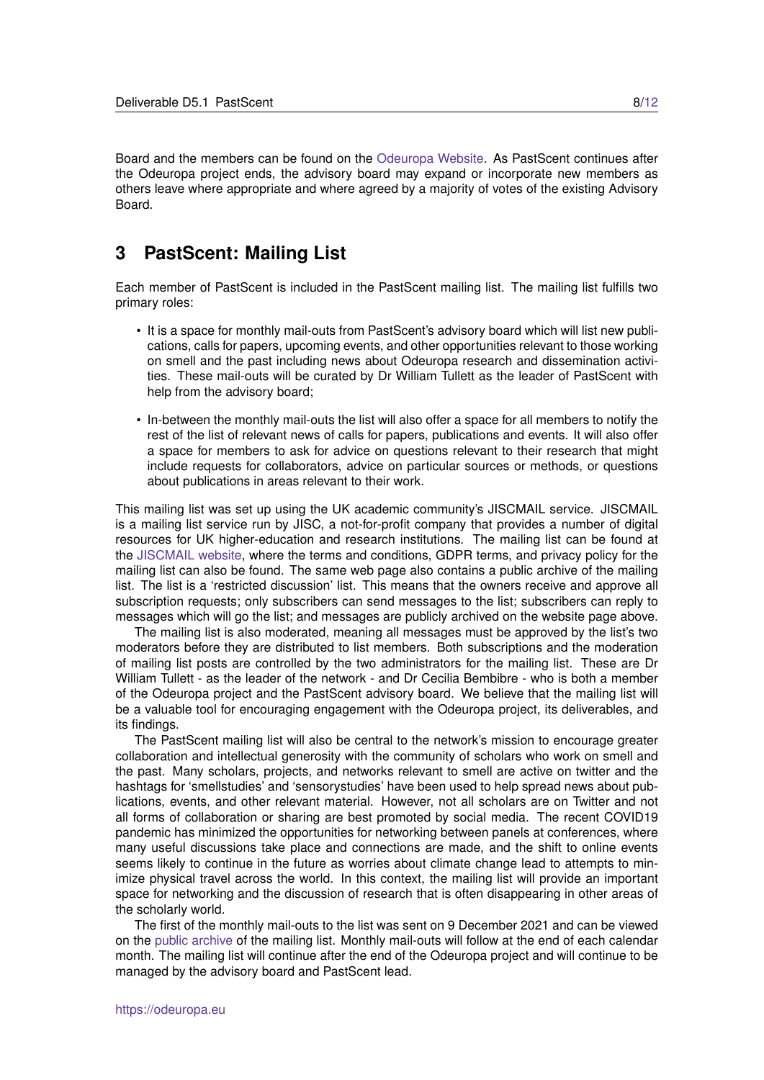Board and the members can be found on the [Odeuropa Website.](https://odeuropa.eu/pastscent-membership/) As PastScent continues after the Odeuropa project ends, the advisory board may expand or incorporate new members as others leave where appropriate and where agreed by a majority of votes of the existing Advisory Board.

### <span id="page-7-0"></span>**3 PastScent: Mailing List**

Each member of PastScent is included in the PastScent mailing list. The mailing list fulfills two primary roles:

- It is a space for monthly mail-outs from PastScent's advisory board which will list new publications, calls for papers, upcoming events, and other opportunities relevant to those working on smell and the past including news about Odeuropa research and dissemination activities. These mail-outs will be curated by Dr William Tullett as the leader of PastScent with help from the advisory board;
- In-between the monthly mail-outs the list will also offer a space for all members to notify the rest of the list of relevant news of calls for papers, publications and events. It will also offer a space for members to ask for advice on questions relevant to their research that might include requests for collaborators, advice on particular sources or methods, or questions about publications in areas relevant to their work.

This mailing list was set up using the UK academic community's JISCMAIL service. JISCMAIL is a mailing list service run by JISC, a not-for-profit company that provides a number of digital resources for UK higher-education and research institutions. The mailing list can be found at the [JISCMAIL website,](https://www.jiscmail.ac.uk/cgi-bin/webadmin?A0=pastscent) where the terms and conditions, GDPR terms, and privacy policy for the mailing list can also be found. The same web page also contains a public archive of the mailing list. The list is a 'restricted discussion' list. This means that the owners receive and approve all subscription requests; only subscribers can send messages to the list; subscribers can reply to messages which will go the list; and messages are publicly archived on the website page above.

The mailing list is also moderated, meaning all messages must be approved by the list's two moderators before they are distributed to list members. Both subscriptions and the moderation of mailing list posts are controlled by the two administrators for the mailing list. These are Dr William Tullett - as the leader of the network - and Dr Cecilia Bembibre - who is both a member of the Odeuropa project and the PastScent advisory board. We believe that the mailing list will be a valuable tool for encouraging engagement with the Odeuropa project, its deliverables, and its findings.

The PastScent mailing list will also be central to the network's mission to encourage greater collaboration and intellectual generosity with the community of scholars who work on smell and the past. Many scholars, projects, and networks relevant to smell are active on twitter and the hashtags for 'smellstudies' and 'sensorystudies' have been used to help spread news about publications, events, and other relevant material. However, not all scholars are on Twitter and not all forms of collaboration or sharing are best promoted by social media. The recent COVID19 pandemic has minimized the opportunities for networking between panels at conferences, where many useful discussions take place and connections are made, and the shift to online events seems likely to continue in the future as worries about climate change lead to attempts to minimize physical travel across the world. In this context, the mailing list will provide an important space for networking and the discussion of research that is often disappearing in other areas of the scholarly world.

The first of the monthly mail-outs to the list was sent on 9 December 2021 and can be viewed on the [public archive](https://www.jiscmail.ac.uk/cgi-bin/wa-jisc.exe?A2=PASTSCENT;17624ed4.2112) of the mailing list. Monthly mail-outs will follow at the end of each calendar month. The mailing list will continue after the end of the Odeuropa project and will continue to be managed by the advisory board and PastScent lead.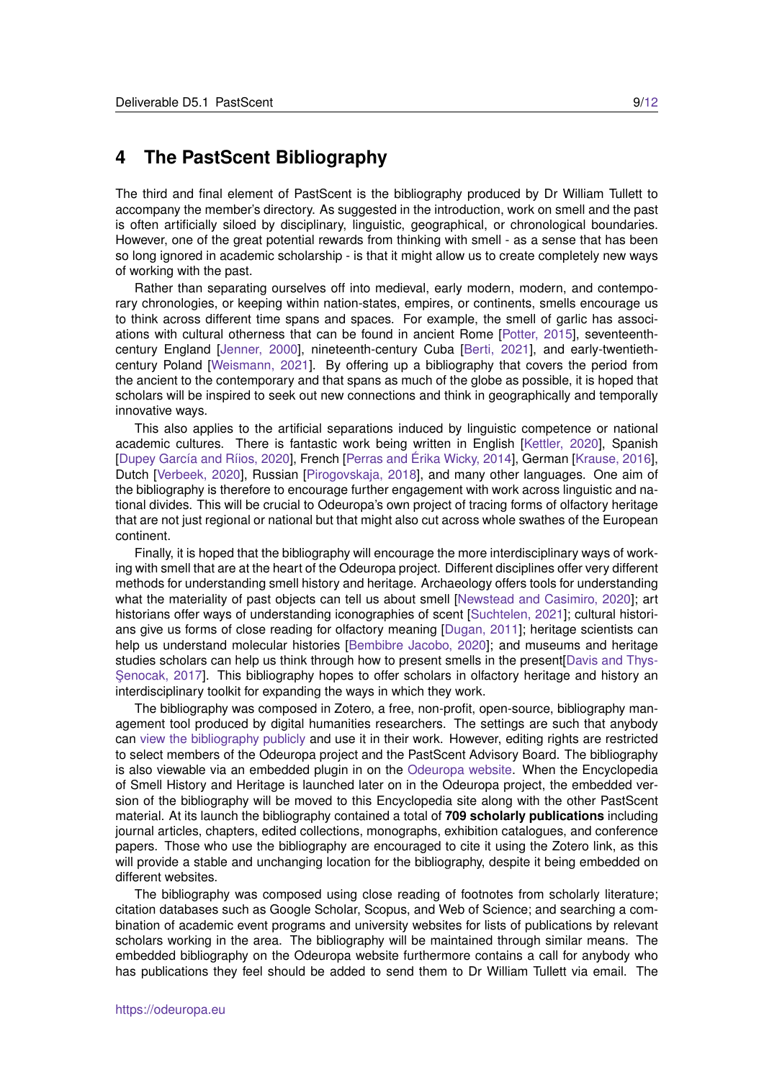### <span id="page-8-0"></span>**4 The PastScent Bibliography**

The third and final element of PastScent is the bibliography produced by Dr William Tullett to accompany the member's directory. As suggested in the introduction, work on smell and the past is often artificially siloed by disciplinary, linguistic, geographical, or chronological boundaries. However, one of the great potential rewards from thinking with smell - as a sense that has been so long ignored in academic scholarship - is that it might allow us to create completely new ways of working with the past.

Rather than separating ourselves off into medieval, early modern, modern, and contemporary chronologies, or keeping within nation-states, empires, or continents, smells encourage us to think across different time spans and spaces. For example, the smell of garlic has associations with cultural otherness that can be found in ancient Rome [\[Potter, 2015\]](#page-11-7), seventeenthcentury England [\[Jenner, 2000\]](#page-10-1), nineteenth-century Cuba [\[Berti, 2021\]](#page-10-6), and early-twentiethcentury Poland [\[Weismann, 2021\]](#page-11-8). By offering up a bibliography that covers the period from the ancient to the contemporary and that spans as much of the globe as possible, it is hoped that scholars will be inspired to seek out new connections and think in geographically and temporally innovative ways.

This also applies to the artificial separations induced by linguistic competence or national academic cultures. There is fantastic work being written in English [\[Kettler, 2020\]](#page-10-7), Spanish [Dupey García and Ríios, 2020], French [Perras and Érika Wicky, 2014], German [\[Krause, 2016\]](#page-10-10), Dutch [\[Verbeek, 2020\]](#page-11-9), Russian [\[Pirogovskaja, 2018\]](#page-11-10), and many other languages. One aim of the bibliography is therefore to encourage further engagement with work across linguistic and national divides. This will be crucial to Odeuropa's own project of tracing forms of olfactory heritage that are not just regional or national but that might also cut across whole swathes of the European continent.

Finally, it is hoped that the bibliography will encourage the more interdisciplinary ways of working with smell that are at the heart of the Odeuropa project. Different disciplines offer very different methods for understanding smell history and heritage. Archaeology offers tools for understanding what the materiality of past objects can tell us about smell [\[Newstead and Casimiro, 2020\]](#page-10-11); art historians offer ways of understanding iconographies of scent [\[Suchtelen, 2021\]](#page-11-11); cultural historians give us forms of close reading for olfactory meaning [\[Dugan, 2011\]](#page-10-12); heritage scientists can help us understand molecular histories [\[Bembibre Jacobo, 2020\]](#page-10-13); and museums and heritage studies scholars can help us think through how to present smells in the present[\[Davis and Thys-](#page-10-14)Senocak, 2017]. This bibliography hopes to offer scholars in olfactory heritage and history an interdisciplinary toolkit for expanding the ways in which they work.

The bibliography was composed in Zotero, a free, non-profit, open-source, bibliography management tool produced by digital humanities researchers. The settings are such that anybody can [view the bibliography publicly](https://www.zotero.org/groups/4530561/pastscent/library) and use it in their work. However, editing rights are restricted to select members of the Odeuropa project and the PastScent Advisory Board. The bibliography is also viewable via an embedded plugin in on the [Odeuropa website.](https://odeuropa.eu/pastscent-bibliography/) When the Encyclopedia of Smell History and Heritage is launched later on in the Odeuropa project, the embedded version of the bibliography will be moved to this Encyclopedia site along with the other PastScent material. At its launch the bibliography contained a total of **709 scholarly publications** including journal articles, chapters, edited collections, monographs, exhibition catalogues, and conference papers. Those who use the bibliography are encouraged to cite it using the Zotero link, as this will provide a stable and unchanging location for the bibliography, despite it being embedded on different websites.

The bibliography was composed using close reading of footnotes from scholarly literature; citation databases such as Google Scholar, Scopus, and Web of Science; and searching a combination of academic event programs and university websites for lists of publications by relevant scholars working in the area. The bibliography will be maintained through similar means. The embedded bibliography on the Odeuropa website furthermore contains a call for anybody who has publications they feel should be added to send them to Dr William Tullett via email. The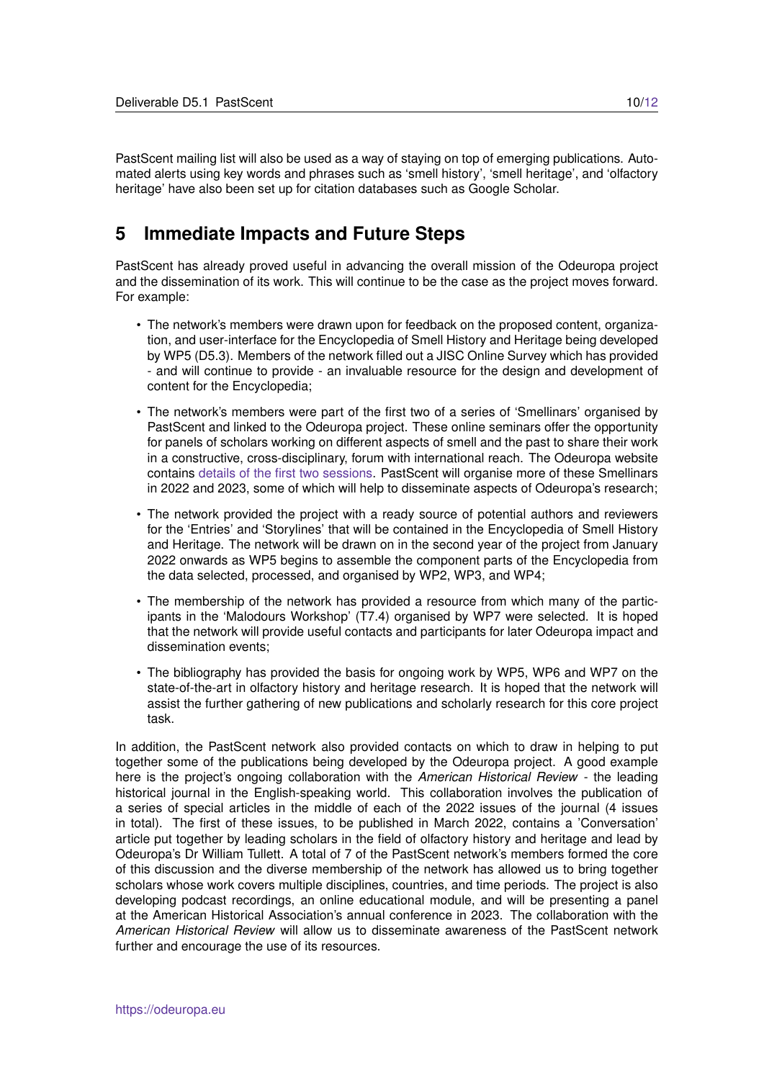PastScent mailing list will also be used as a way of staying on top of emerging publications. Automated alerts using key words and phrases such as 'smell history', 'smell heritage', and 'olfactory heritage' have also been set up for citation databases such as Google Scholar.

## <span id="page-9-0"></span>**5 Immediate Impacts and Future Steps**

PastScent has already proved useful in advancing the overall mission of the Odeuropa project and the dissemination of its work. This will continue to be the case as the project moves forward. For example:

- The network's members were drawn upon for feedback on the proposed content, organization, and user-interface for the Encyclopedia of Smell History and Heritage being developed by WP5 (D5.3). Members of the network filled out a JISC Online Survey which has provided - and will continue to provide - an invaluable resource for the design and development of content for the Encyclopedia;
- The network's members were part of the first two of a series of 'Smellinars' organised by PastScent and linked to the Odeuropa project. These online seminars offer the opportunity for panels of scholars working on different aspects of smell and the past to share their work in a constructive, cross-disciplinary, forum with international reach. The Odeuropa website contains [details of the first two sessions.](https://odeuropa.eu/smellinars/) PastScent will organise more of these Smellinars in 2022 and 2023, some of which will help to disseminate aspects of Odeuropa's research;
- The network provided the project with a ready source of potential authors and reviewers for the 'Entries' and 'Storylines' that will be contained in the Encyclopedia of Smell History and Heritage. The network will be drawn on in the second year of the project from January 2022 onwards as WP5 begins to assemble the component parts of the Encyclopedia from the data selected, processed, and organised by WP2, WP3, and WP4;
- The membership of the network has provided a resource from which many of the participants in the 'Malodours Workshop' (T7.4) organised by WP7 were selected. It is hoped that the network will provide useful contacts and participants for later Odeuropa impact and dissemination events;
- The bibliography has provided the basis for ongoing work by WP5, WP6 and WP7 on the state-of-the-art in olfactory history and heritage research. It is hoped that the network will assist the further gathering of new publications and scholarly research for this core project task.

In addition, the PastScent network also provided contacts on which to draw in helping to put together some of the publications being developed by the Odeuropa project. A good example here is the project's ongoing collaboration with the *American Historical Review* - the leading historical journal in the English-speaking world. This collaboration involves the publication of a series of special articles in the middle of each of the 2022 issues of the journal (4 issues in total). The first of these issues, to be published in March 2022, contains a 'Conversation' article put together by leading scholars in the field of olfactory history and heritage and lead by Odeuropa's Dr William Tullett. A total of 7 of the PastScent network's members formed the core of this discussion and the diverse membership of the network has allowed us to bring together scholars whose work covers multiple disciplines, countries, and time periods. The project is also developing podcast recordings, an online educational module, and will be presenting a panel at the American Historical Association's annual conference in 2023. The collaboration with the *American Historical Review* will allow us to disseminate awareness of the PastScent network further and encourage the use of its resources.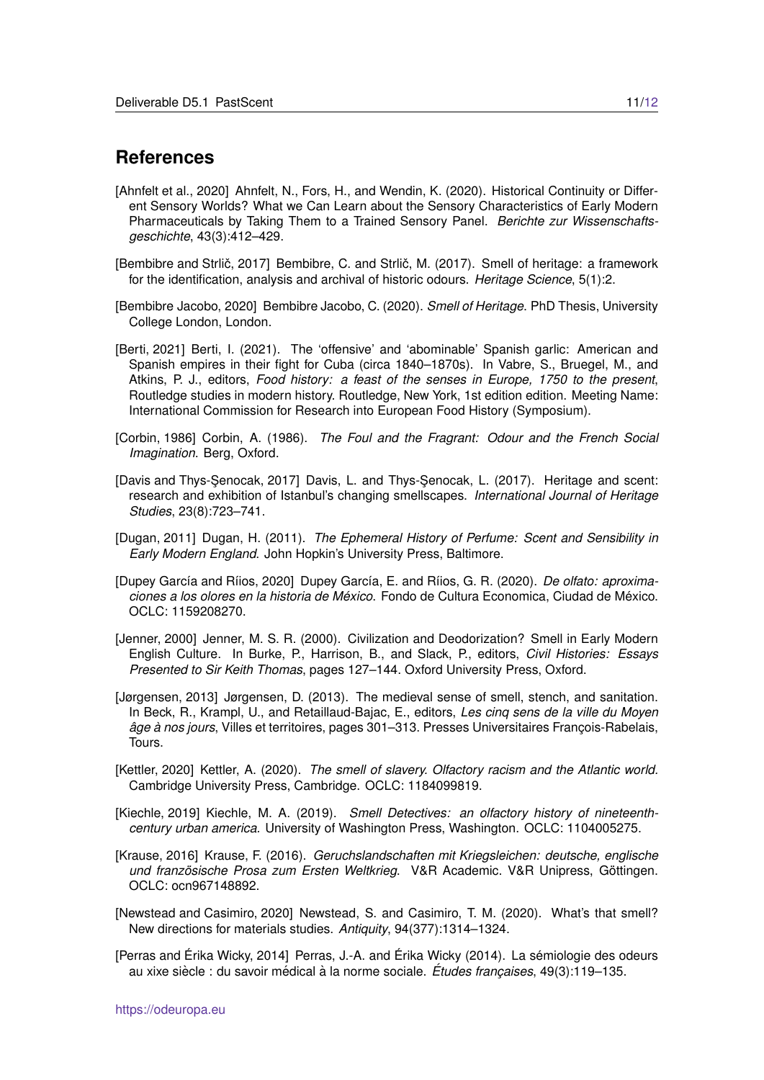### **References**

- <span id="page-10-3"></span>[Ahnfelt et al., 2020] Ahnfelt, N., Fors, H., and Wendin, K. (2020). Historical Continuity or Different Sensory Worlds? What we Can Learn about the Sensory Characteristics of Early Modern Pharmaceuticals by Taking Them to a Trained Sensory Panel. *Berichte zur Wissenschaftsgeschichte*, 43(3):412–429.
- <span id="page-10-4"></span>[Bembibre and Strlič, 2017] Bembibre, C. and Strlič, M. (2017). Smell of heritage: a framework for the identification, analysis and archival of historic odours. *Heritage Science*, 5(1):2.
- <span id="page-10-13"></span>[Bembibre Jacobo, 2020] Bembibre Jacobo, C. (2020). *Smell of Heritage*. PhD Thesis, University College London, London.
- <span id="page-10-6"></span>[Berti, 2021] Berti, I. (2021). The 'offensive' and 'abominable' Spanish garlic: American and Spanish empires in their fight for Cuba (circa 1840–1870s). In Vabre, S., Bruegel, M., and Atkins, P. J., editors, *Food history: a feast of the senses in Europe, 1750 to the present*, Routledge studies in modern history. Routledge, New York, 1st edition edition. Meeting Name: International Commission for Research into European Food History (Symposium).
- <span id="page-10-0"></span>[Corbin, 1986] Corbin, A. (1986). *The Foul and the Fragrant: Odour and the French Social Imagination*. Berg, Oxford.
- <span id="page-10-14"></span>[Davis and Thys-Şenocak, 2017] Davis, L. and Thys-Şenocak, L. (2017). Heritage and scent: research and exhibition of Istanbul's changing smellscapes. *International Journal of Heritage Studies*, 23(8):723–741.
- <span id="page-10-12"></span>[Dugan, 2011] Dugan, H. (2011). *The Ephemeral History of Perfume: Scent and Sensibility in Early Modern England*. John Hopkin's University Press, Baltimore.
- <span id="page-10-8"></span>[Dupey García and Ríios, 2020] Dupey García, E. and Ríios, G. R. (2020). *De olfato: aproximaciones a los olores en la historia de Mexico ´* . Fondo de Cultura Economica, Ciudad de Mexico. ´ OCLC: 1159208270.
- <span id="page-10-1"></span>[Jenner, 2000] Jenner, M. S. R. (2000). Civilization and Deodorization? Smell in Early Modern English Culture. In Burke, P., Harrison, B., and Slack, P., editors, *Civil Histories: Essays Presented to Sir Keith Thomas*, pages 127–144. Oxford University Press, Oxford.
- <span id="page-10-2"></span>[Jørgensen, 2013] Jørgensen, D. (2013). The medieval sense of smell, stench, and sanitation. In Beck, R., Krampl, U., and Retaillaud-Bajac, E., editors, *Les cinq sens de la ville du Moyen âge à nos jours*, Villes et territoires, pages 301–313. Presses Universitaires Francois-Rabelais, Tours.
- <span id="page-10-7"></span>[Kettler, 2020] Kettler, A. (2020). *The smell of slavery. Olfactory racism and the Atlantic world.* Cambridge University Press, Cambridge. OCLC: 1184099819.
- <span id="page-10-5"></span>[Kiechle, 2019] Kiechle, M. A. (2019). *Smell Detectives: an olfactory history of nineteenthcentury urban america.* University of Washington Press, Washington. OCLC: 1104005275.
- <span id="page-10-10"></span>[Krause, 2016] Krause, F. (2016). *Geruchslandschaften mit Kriegsleichen: deutsche, englische und franzosische Prosa zum Ersten Weltkrieg ¨* . V&R Academic. V&R Unipress, Gottingen. ¨ OCLC: ocn967148892.
- <span id="page-10-11"></span>[Newstead and Casimiro, 2020] Newstead, S. and Casimiro, T. M. (2020). What's that smell? New directions for materials studies. *Antiquity*, 94(377):1314–1324.
- <span id="page-10-9"></span>[Perras and Erika Wicky, 2014] Perras, J.-A. and Erika Wicky (2014). La sémiologie des odeurs au xixe siècle : du savoir médical à la norme sociale. *Études françaises*, 49(3):119–135.